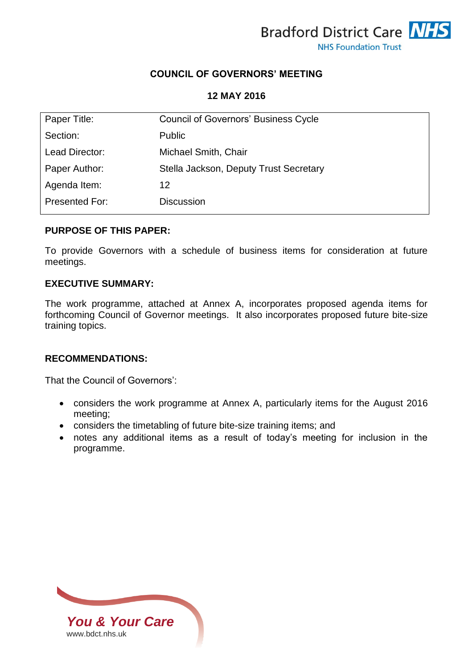

## **COUNCIL OF GOVERNORS' MEETING**

#### **12 MAY 2016**

| Paper Title:   | <b>Council of Governors' Business Cycle</b> |
|----------------|---------------------------------------------|
| Section:       | <b>Public</b>                               |
| Lead Director: | Michael Smith, Chair                        |
| Paper Author:  | Stella Jackson, Deputy Trust Secretary      |
| Agenda Item:   | 12                                          |
| Presented For: | <b>Discussion</b>                           |

#### **PURPOSE OF THIS PAPER:**

To provide Governors with a schedule of business items for consideration at future meetings.

#### **EXECUTIVE SUMMARY:**

The work programme, attached at Annex A, incorporates proposed agenda items for forthcoming Council of Governor meetings. It also incorporates proposed future bite-size training topics.

### **RECOMMENDATIONS:**

That the Council of Governors':

- considers the work programme at Annex A, particularly items for the August 2016 meeting;
- considers the timetabling of future bite-size training items; and
- notes any additional items as a result of today's meeting for inclusion in the programme.

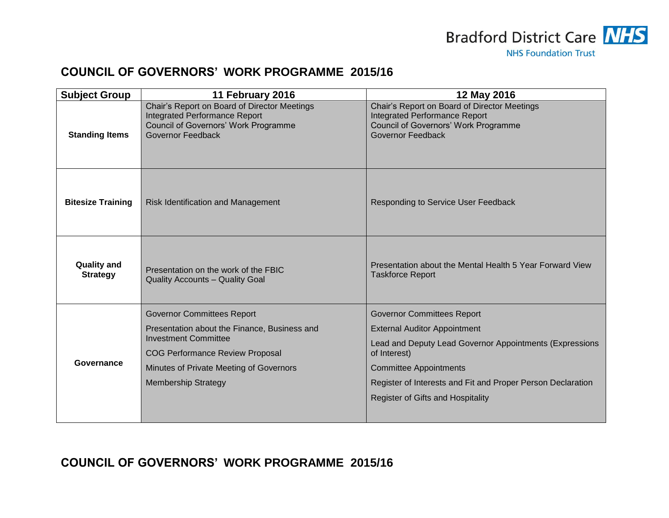

# **COUNCIL OF GOVERNORS' WORK PROGRAMME 2015/16**

| <b>Subject Group</b>                  | 11 February 2016                                                                                                                           | 12 May 2016                                                                                                                                              |
|---------------------------------------|--------------------------------------------------------------------------------------------------------------------------------------------|----------------------------------------------------------------------------------------------------------------------------------------------------------|
| <b>Standing Items</b>                 | Chair's Report on Board of Director Meetings<br>Integrated Performance Report<br>Council of Governors' Work Programme<br>Governor Feedback | Chair's Report on Board of Director Meetings<br><b>Integrated Performance Report</b><br>Council of Governors' Work Programme<br><b>Governor Feedback</b> |
| <b>Bitesize Training</b>              | <b>Risk Identification and Management</b>                                                                                                  | <b>Responding to Service User Feedback</b>                                                                                                               |
| <b>Quality and</b><br><b>Strategy</b> | Presentation on the work of the FBIC<br><b>Quality Accounts - Quality Goal</b>                                                             | Presentation about the Mental Health 5 Year Forward View<br><b>Taskforce Report</b>                                                                      |
| Governance                            | <b>Governor Committees Report</b>                                                                                                          | <b>Governor Committees Report</b>                                                                                                                        |
|                                       | Presentation about the Finance, Business and<br><b>Investment Committee</b>                                                                | <b>External Auditor Appointment</b>                                                                                                                      |
|                                       | <b>COG Performance Review Proposal</b>                                                                                                     | Lead and Deputy Lead Governor Appointments (Expressions<br>of Interest)                                                                                  |
|                                       | Minutes of Private Meeting of Governors                                                                                                    | <b>Committee Appointments</b>                                                                                                                            |
|                                       | <b>Membership Strategy</b>                                                                                                                 | Register of Interests and Fit and Proper Person Declaration                                                                                              |
|                                       |                                                                                                                                            | <b>Register of Gifts and Hospitality</b>                                                                                                                 |

**COUNCIL OF GOVERNORS' WORK PROGRAMME 2015/16**